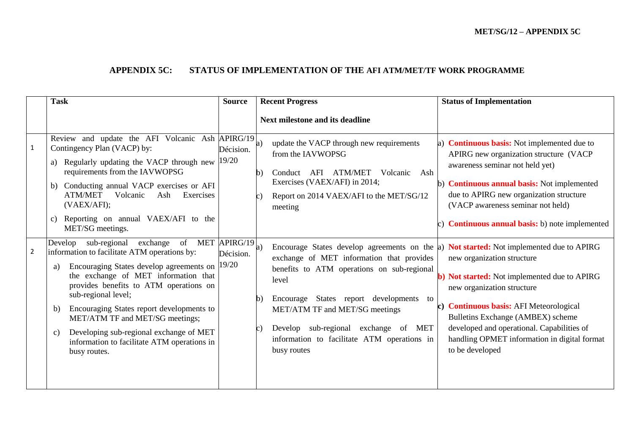## **APPENDIX 5C: STATUS OF IMPLEMENTATION OF THE AFI ATM/MET/TF WORK PROGRAMME**

|                | <b>Task</b>                                                                                                                                                                                                                                                                                                                                                                                                                                                       | <b>Source</b>      | <b>Recent Progress</b>                                                                                                                                                                                                                                                                                                                                                                                                 | <b>Status of Implementation</b>                                                                                                                                                                                                                                                                                                 |
|----------------|-------------------------------------------------------------------------------------------------------------------------------------------------------------------------------------------------------------------------------------------------------------------------------------------------------------------------------------------------------------------------------------------------------------------------------------------------------------------|--------------------|------------------------------------------------------------------------------------------------------------------------------------------------------------------------------------------------------------------------------------------------------------------------------------------------------------------------------------------------------------------------------------------------------------------------|---------------------------------------------------------------------------------------------------------------------------------------------------------------------------------------------------------------------------------------------------------------------------------------------------------------------------------|
|                |                                                                                                                                                                                                                                                                                                                                                                                                                                                                   |                    | <b>Next milestone and its deadline</b>                                                                                                                                                                                                                                                                                                                                                                                 |                                                                                                                                                                                                                                                                                                                                 |
| $\mathbf{1}$   | Review and update the AFI Volcanic Ash APIRG/19<br>Contingency Plan (VACP) by:<br>Regularly updating the VACP through new<br>requirements from the IAVWOPSG<br>b) Conducting annual VACP exercises or AFI<br>Volcanic<br><b>ATM/MET</b><br>Ash<br>Exercises<br>(VAEX/AFI);<br>Reporting on annual VAEX/AFI to the<br>$\mathbf{c}$<br>MET/SG meetings.                                                                                                             | Décision.<br>19/20 | update the VACP through new requirements<br>a)<br>from the IAVWOPSG<br>AFI ATM/MET<br>Volcanic<br>Conduct<br>Ash<br>h)<br>Exercises (VAEX/AFI) in 2014;<br>Report on 2014 VAEX/AFI to the MET/SG/12<br>meeting                                                                                                                                                                                                         | a) <b>Continuous basis:</b> Not implemented due to<br>APIRG new organization structure (VACP<br>awareness seminar not held yet)<br>b) <b>Continuous annual basis:</b> Not implemented<br>due to APIRG new organization structure<br>(VACP awareness seminar not held)<br>c) <b>Continuous annual basis:</b> b) note implemented |
| $\overline{2}$ | Develop sub-regional exchange<br>of MET APIRG/19<br>information to facilitate ATM operations by:<br>Encouraging States develop agreements on<br>a)<br>the exchange of MET information that<br>provides benefits to ATM operations on<br>sub-regional level;<br>Encouraging States report developments to<br>b)<br>MET/ATM TF and MET/SG meetings;<br>Developing sub-regional exchange of MET<br>c)<br>information to facilitate ATM operations in<br>busy routes. | Décision.<br>19/20 | Encourage States develop agreements on the a) <b>Not started:</b> Not implemented due to APIRG<br>a)<br>exchange of MET information that provides<br>benefits to ATM operations on sub-regional<br>level<br>States report developments<br>Encourage<br>to<br>h<br>MET/ATM TF and MET/SG meetings<br>Develop sub-regional exchange of<br><b>MET</b><br>C.<br>information to facilitate ATM operations in<br>busy routes | new organization structure<br>b) Not started: Not implemented due to APIRG<br>new organization structure<br>c) Continuous basis: AFI Meteorological<br>Bulletins Exchange (AMBEX) scheme<br>developed and operational. Capabilities of<br>handling OPMET information in digital format<br>to be developed                       |